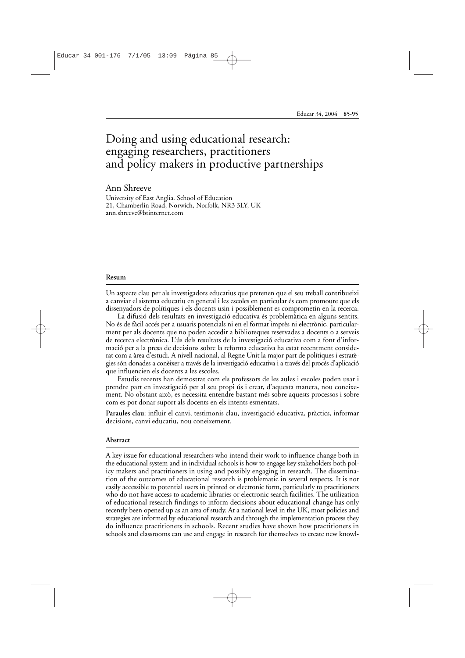# Doing and using educational research: engaging researchers, practitioners and policy makers in productive partnerships

### Ann Shreeve

University of East Anglia. School of Education 21, Chamberlin Road, Norwich, Norfolk, NR3 3LY, UK ann.shreeve@btinternet.com

#### **Resum**

Un aspecte clau per als investigadors educatius que pretenen que el seu treball contribueixi a canviar el sistema educatiu en general i les escoles en particular és com promoure que els dissenyadors de polítiques i els docents usin i possiblement es comprometin en la recerca.

La difusió dels resultats en investigació educativa és problemàtica en alguns sentits. No és de fàcil accés per a usuaris potencials ni en el format imprès ni electrònic, particularment per als docents que no poden accedir a biblioteques reservades a docents o a serveis de recerca electrònica. L'ús dels resultats de la investigació educativa com a font d'informació per a la presa de decisions sobre la reforma educativa ha estat recentment considerat com a àrea d'estudi. A nivell nacional, al Regne Unit la major part de polítiques i estratègies són donades a conèixer a través de la investigació educativa i a través del procés d'aplicació que influencien els docents a les escoles.

Estudis recents han demostrat com els professors de les aules i escoles poden usar i prendre part en investigació per al seu propi ús i crear, d'aquesta manera, nou coneixement. No obstant això, es necessita entendre bastant més sobre aquests processos i sobre com es pot donar suport als docents en els intents esmentats.

**Paraules clau**: influir el canvi, testimonis clau, investigació educativa, pràctics, informar decisions, canvi educatiu, nou coneixement.

#### **Abstract**

A key issue for educational researchers who intend their work to influence change both in the educational system and in individual schools is how to engage key stakeholders both policy makers and practitioners in using and possibly engaging in research. The dissemination of the outcomes of educational research is problematic in several respects. It is not easily accessible to potential users in printed or electronic form, particularly to practitioners who do not have access to academic libraries or electronic search facilities. The utilization of educational research findings to inform decisions about educational change has only recently been opened up as an area of study. At a national level in the UK, most policies and strategies are informed by educational research and through the implementation process they do influence practitioners in schools. Recent studies have shown how practitioners in schools and classrooms can use and engage in research for themselves to create new knowl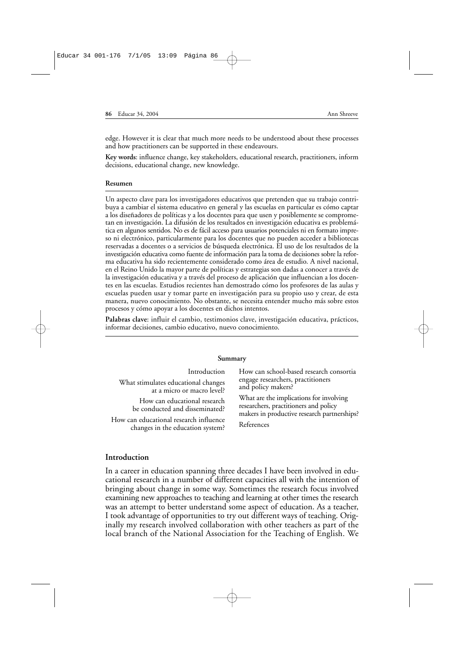edge. However it is clear that much more needs to be understood about these processes and how practitioners can be supported in these endeavours.

**Key words**: influence change, key stakeholders, educational research, practitioners, inform decisions, educational change, new knowledge.

#### **Resumen**

Un aspecto clave para los investigadores educativos que pretenden que su trabajo contribuya a cambiar el sistema educativo en general y las escuelas en particular es cómo captar a los diseñadores de políticas y a los docentes para que usen y posiblemente se comprometan en investigación. La difusión de los resultados en investigación educativa es problemática en algunos sentidos. No es de fácil acceso para usuarios potenciales ni en formato impreso ni electrónico, particularmente para los docentes que no pueden acceder a bibliotecas reservadas a docentes o a servicios de búsqueda electrónica. El uso de los resultados de la investigación educativa como fuente de información para la toma de decisiones sobre la reforma educativa ha sido recientemente considerado como área de estudio. A nivel nacional, en el Reino Unido la mayor parte de políticas y estrategias son dadas a conocer a través de la investigación educativa y a través del proceso de aplicación que influencian a los docentes en las escuelas. Estudios recientes han demostrado cómo los profesores de las aulas y escuelas pueden usar y tomar parte en investigación para su propio uso y crear, de esta manera, nuevo conocimiento. No obstante, se necesita entender mucho más sobre estos procesos y cómo apoyar a los docentes en dichos intentos.

**Palabras clave**: influir el cambio, testimonios clave, investigación educativa, prácticos, informar decisiones, cambio educativo, nuevo conocimiento.

#### **Summary**

| Introduction                           | How can school-based research consortia     |
|----------------------------------------|---------------------------------------------|
| What stimulates educational changes    | engage researchers, practitioners           |
| at a micro or macro level?             | and policy makers?                          |
| How can educational research           | What are the implications for involving     |
| be conducted and disseminated?         | researchers, practitioners and policy       |
| How can educational research influence | makers in productive research partnerships? |
| changes in the education system?       | References                                  |
|                                        |                                             |

### **Introduction**

In a career in education spanning three decades I have been involved in educational research in a number of different capacities all with the intention of bringing about change in some way. Sometimes the research focus involved examining new approaches to teaching and learning at other times the research was an attempt to better understand some aspect of education. As a teacher, I took advantage of opportunities to try out different ways of teaching. Originally my research involved collaboration with other teachers as part of the local branch of the National Association for the Teaching of English. We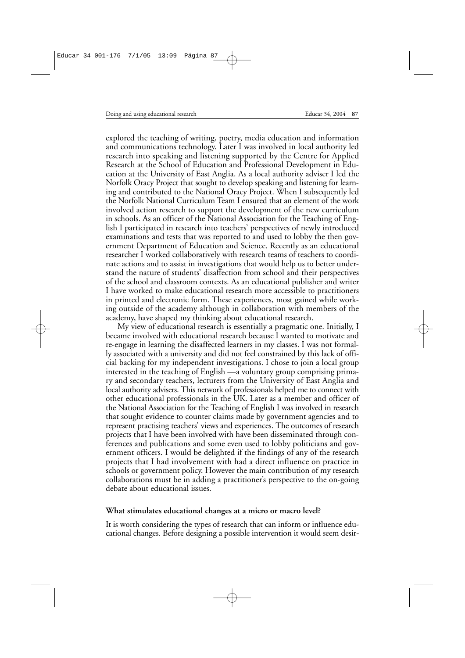explored the teaching of writing, poetry, media education and information and communications technology. Later I was involved in local authority led research into speaking and listening supported by the Centre for Applied Research at the School of Education and Professional Development in Education at the University of East Anglia. As a local authority adviser I led the Norfolk Oracy Project that sought to develop speaking and listening for learning and contributed to the National Oracy Project. When I subsequently led the Norfolk National Curriculum Team I ensured that an element of the work involved action research to support the development of the new curriculum in schools. As an officer of the National Association for the Teaching of English I participated in research into teachers' perspectives of newly introduced examinations and tests that was reported to and used to lobby the then government Department of Education and Science. Recently as an educational researcher I worked collaboratively with research teams of teachers to coordinate actions and to assist in investigations that would help us to better understand the nature of students' disaffection from school and their perspectives of the school and classroom contexts. As an educational publisher and writer I have worked to make educational research more accessible to practitioners in printed and electronic form. These experiences, most gained while working outside of the academy although in collaboration with members of the academy, have shaped my thinking about educational research.

My view of educational research is essentially a pragmatic one. Initially, I became involved with educational research because I wanted to motivate and re-engage in learning the disaffected learners in my classes. I was not formally associated with a university and did not feel constrained by this lack of official backing for my independent investigations. I chose to join a local group interested in the teaching of English —a voluntary group comprising primary and secondary teachers, lecturers from the University of East Anglia and local authority advisers. This network of professionals helped me to connect with other educational professionals in the UK. Later as a member and officer of the National Association for the Teaching of English I was involved in research that sought evidence to counter claims made by government agencies and to represent practising teachers' views and experiences. The outcomes of research projects that I have been involved with have been disseminated through conferences and publications and some even used to lobby politicians and government officers. I would be delighted if the findings of any of the research projects that I had involvement with had a direct influence on practice in schools or government policy. However the main contribution of my research collaborations must be in adding a practitioner's perspective to the on-going debate about educational issues.

### **What stimulates educational changes at a micro or macro level?**

It is worth considering the types of research that can inform or influence educational changes. Before designing a possible intervention it would seem desir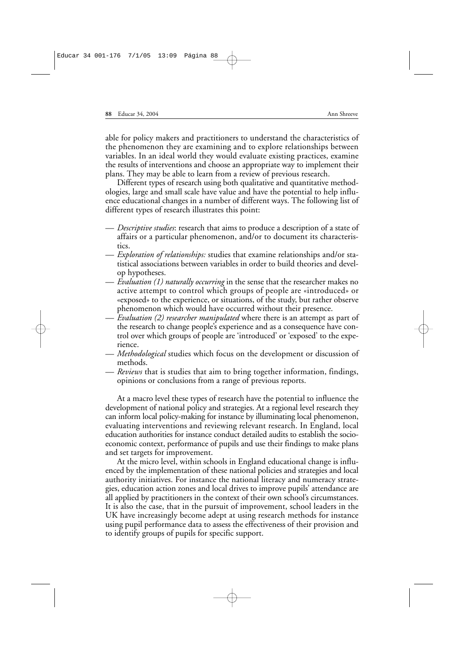able for policy makers and practitioners to understand the characteristics of the phenomenon they are examining and to explore relationships between variables. In an ideal world they would evaluate existing practices, examine the results of interventions and choose an appropriate way to implement their plans. They may be able to learn from a review of previous research.

Different types of research using both qualitative and quantitative methodologies, large and small scale have value and have the potential to help influence educational changes in a number of different ways. The following list of different types of research illustrates this point:

- *Descriptive studies*: research that aims to produce a description of a state of affairs or a particular phenomenon, and/or to document its characteristics.
- *Exploration of relationships:* studies that examine relationships and/or statistical associations between variables in order to build theories and develop hypotheses.
- *Evaluation (1) naturally occurring* in the sense that the researcher makes no active attempt to control which groups of people are «introduced» or «exposed» to the experience, or situations, of the study, but rather observe phenomenon which would have occurred without their presence.
- *Evaluation (2) researcher manipulated* where there is an attempt as part of the research to change people's experience and as a consequence have control over which groups of people are 'introduced' or 'exposed' to the experience.
- *Methodological* studies which focus on the development or discussion of methods.
- *Reviews* that is studies that aim to bring together information, findings, opinions or conclusions from a range of previous reports.

At a macro level these types of research have the potential to influence the development of national policy and strategies. At a regional level research they can inform local policy-making for instance by illuminating local phenomenon, evaluating interventions and reviewing relevant research. In England, local education authorities for instance conduct detailed audits to establish the socioeconomic context, performance of pupils and use their findings to make plans and set targets for improvement.

At the micro level, within schools in England educational change is influenced by the implementation of these national policies and strategies and local authority initiatives. For instance the national literacy and numeracy strategies, education action zones and local drives to improve pupils' attendance are all applied by practitioners in the context of their own school's circumstances. It is also the case, that in the pursuit of improvement, school leaders in the UK have increasingly become adept at using research methods for instance using pupil performance data to assess the effectiveness of their provision and to identify groups of pupils for specific support.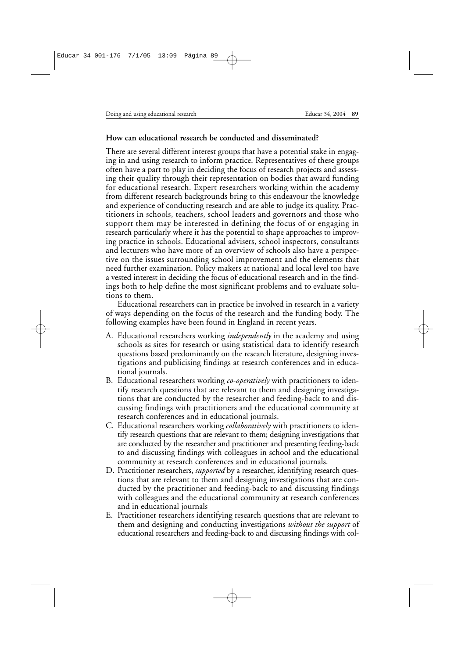## **How can educational research be conducted and disseminated?**

There are several different interest groups that have a potential stake in engaging in and using research to inform practice. Representatives of these groups often have a part to play in deciding the focus of research projects and assessing their quality through their representation on bodies that award funding for educational research. Expert researchers working within the academy from different research backgrounds bring to this endeavour the knowledge and experience of conducting research and are able to judge its quality. Practitioners in schools, teachers, school leaders and governors and those who support them may be interested in defining the focus of or engaging in research particularly where it has the potential to shape approaches to improving practice in schools. Educational advisers, school inspectors, consultants and lecturers who have more of an overview of schools also have a perspective on the issues surrounding school improvement and the elements that need further examination. Policy makers at national and local level too have a vested interest in deciding the focus of educational research and in the findings both to help define the most significant problems and to evaluate solutions to them.

Educational researchers can in practice be involved in research in a variety of ways depending on the focus of the research and the funding body. The following examples have been found in England in recent years.

- A. Educational researchers working *independently* in the academy and using schools as sites for research or using statistical data to identify research questions based predominantly on the research literature, designing investigations and publicising findings at research conferences and in educational journals.
- B. Educational researchers working *co-operatively* with practitioners to identify research questions that are relevant to them and designing investigations that are conducted by the researcher and feeding-back to and discussing findings with practitioners and the educational community at research conferences and in educational journals.
- C. Educational researchers working *collaboratively* with practitioners to identify research questions that are relevant to them; designing investigations that are conducted by the researcher and practitioner and presenting feeding-back to and discussing findings with colleagues in school and the educational community at research conferences and in educational journals.
- D. Practitioner researchers, *supported* by a researcher, identifying research questions that are relevant to them and designing investigations that are conducted by the practitioner and feeding-back to and discussing findings with colleagues and the educational community at research conferences and in educational journals
- E. Practitioner researchers identifying research questions that are relevant to them and designing and conducting investigations *without the support* of educational researchers and feeding-back to and discussing findings with col-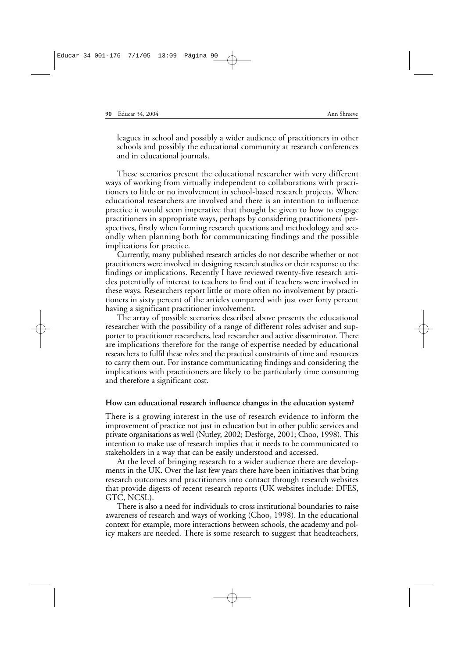leagues in school and possibly a wider audience of practitioners in other schools and possibly the educational community at research conferences and in educational journals.

These scenarios present the educational researcher with very different ways of working from virtually independent to collaborations with practitioners to little or no involvement in school-based research projects. Where educational researchers are involved and there is an intention to influence practice it would seem imperative that thought be given to how to engage practitioners in appropriate ways, perhaps by considering practitioners' perspectives, firstly when forming research questions and methodology and secondly when planning both for communicating findings and the possible implications for practice.

Currently, many published research articles do not describe whether or not practitioners were involved in designing research studies or their response to the findings or implications. Recently I have reviewed twenty-five research articles potentially of interest to teachers to find out if teachers were involved in these ways. Researchers report little or more often no involvement by practitioners in sixty percent of the articles compared with just over forty percent having a significant practitioner involvement.

The array of possible scenarios described above presents the educational researcher with the possibility of a range of different roles adviser and supporter to practitioner researchers, lead researcher and active disseminator. There are implications therefore for the range of expertise needed by educational researchers to fulfil these roles and the practical constraints of time and resources to carry them out. For instance communicating findings and considering the implications with practitioners are likely to be particularly time consuming and therefore a significant cost.

### **How can educational research influence changes in the education system?**

There is a growing interest in the use of research evidence to inform the improvement of practice not just in education but in other public services and private organisations as well (Nutley, 2002; Desforge, 2001; Choo, 1998). This intention to make use of research implies that it needs to be communicated to stakeholders in a way that can be easily understood and accessed.

At the level of bringing research to a wider audience there are developments in the UK. Over the last few years there have been initiatives that bring research outcomes and practitioners into contact through research websites that provide digests of recent research reports (UK websites include: DFES, GTC, NCSL).

There is also a need for individuals to cross institutional boundaries to raise awareness of research and ways of working (Choo, 1998). In the educational context for example, more interactions between schools, the academy and policy makers are needed. There is some research to suggest that headteachers,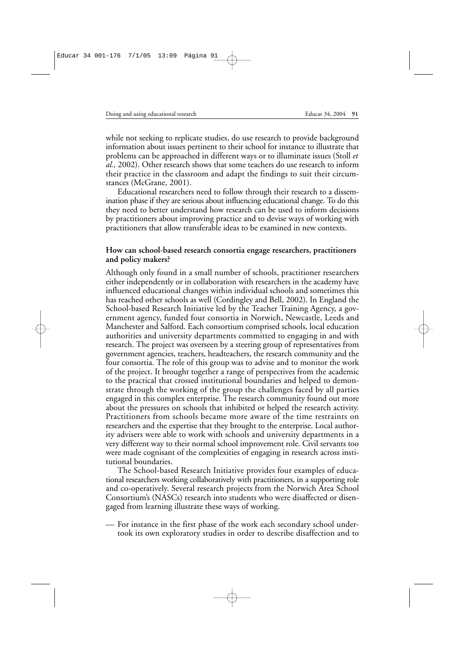while not seeking to replicate studies, do use research to provide background information about issues pertinent to their school for instance to illustrate that problems can be approached in different ways or to illuminate issues (Stoll *et al.,* 2002). Other research shows that some teachers do use research to inform their practice in the classroom and adapt the findings to suit their circumstances (McGrane, 2001).

Educational researchers need to follow through their research to a dissemination phase if they are serious about influencing educational change. To do this they need to better understand how research can be used to inform decisions by practitioners about improving practice and to devise ways of working with practitioners that allow transferable ideas to be examined in new contexts.

#### **How can school-based research consortia engage researchers, practitioners and policy makers?**

Although only found in a small number of schools, practitioner researchers either independently or in collaboration with researchers in the academy have influenced educational changes within individual schools and sometimes this has reached other schools as well (Cordingley and Bell, 2002). In England the School-based Research Initiative led by the Teacher Training Agency, a government agency, funded four consortia in Norwich, Newcastle, Leeds and Manchester and Salford. Each consortium comprised schools, local education authorities and university departments committed to engaging in and with research. The project was overseen by a steering group of representatives from government agencies, teachers, headteachers, the research community and the four consortia. The role of this group was to advise and to monitor the work of the project. It brought together a range of perspectives from the academic to the practical that crossed institutional boundaries and helped to demonstrate through the working of the group the challenges faced by all parties engaged in this complex enterprise. The research community found out more about the pressures on schools that inhibited or helped the research activity. Practitioners from schools became more aware of the time restraints on researchers and the expertise that they brought to the enterprise. Local authority advisers were able to work with schools and university departments in a very different way to their normal school improvement role. Civil servants too were made cognisant of the complexities of engaging in research across institutional boundaries.

The School-based Research Initiative provides four examples of educational researchers working collaboratively with practitioners, in a supporting role and co-operatively. Several research projects from the Norwich Area School Consortium's (NASCs) research into students who were disaffected or disengaged from learning illustrate these ways of working.

— For instance in the first phase of the work each secondary school undertook its own exploratory studies in order to describe disaffection and to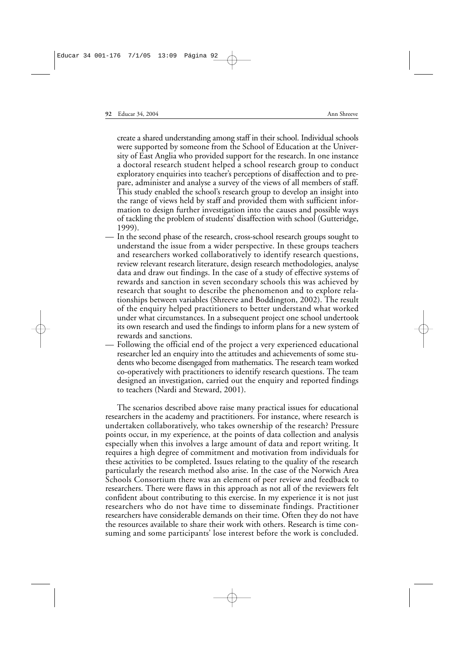create a shared understanding among staff in their school. Individual schools were supported by someone from the School of Education at the University of East Anglia who provided support for the research. In one instance a doctoral research student helped a school research group to conduct exploratory enquiries into teacher's perceptions of disaffection and to prepare, administer and analyse a survey of the views of all members of staff. This study enabled the school's research group to develop an insight into the range of views held by staff and provided them with sufficient information to design further investigation into the causes and possible ways of tackling the problem of students' disaffection with school (Gutteridge, 1999).

- In the second phase of the research, cross-school research groups sought to understand the issue from a wider perspective. In these groups teachers and researchers worked collaboratively to identify research questions, review relevant research literature, design research methodologies, analyse data and draw out findings. In the case of a study of effective systems of rewards and sanction in seven secondary schools this was achieved by research that sought to describe the phenomenon and to explore relationships between variables (Shreeve and Boddington, 2002). The result of the enquiry helped practitioners to better understand what worked under what circumstances. In a subsequent project one school undertook its own research and used the findings to inform plans for a new system of rewards and sanctions.
- Following the official end of the project a very experienced educational researcher led an enquiry into the attitudes and achievements of some students who become disengaged from mathematics. The research team worked co-operatively with practitioners to identify research questions. The team designed an investigation, carried out the enquiry and reported findings to teachers (Nardi and Steward, 2001).

The scenarios described above raise many practical issues for educational researchers in the academy and practitioners. For instance, where research is undertaken collaboratively, who takes ownership of the research? Pressure points occur, in my experience, at the points of data collection and analysis especially when this involves a large amount of data and report writing. It requires a high degree of commitment and motivation from individuals for these activities to be completed. Issues relating to the quality of the research particularly the research method also arise. In the case of the Norwich Area Schools Consortium there was an element of peer review and feedback to researchers. There were flaws in this approach as not all of the reviewers felt confident about contributing to this exercise. In my experience it is not just researchers who do not have time to disseminate findings. Practitioner researchers have considerable demands on their time. Often they do not have the resources available to share their work with others. Research is time consuming and some participants' lose interest before the work is concluded.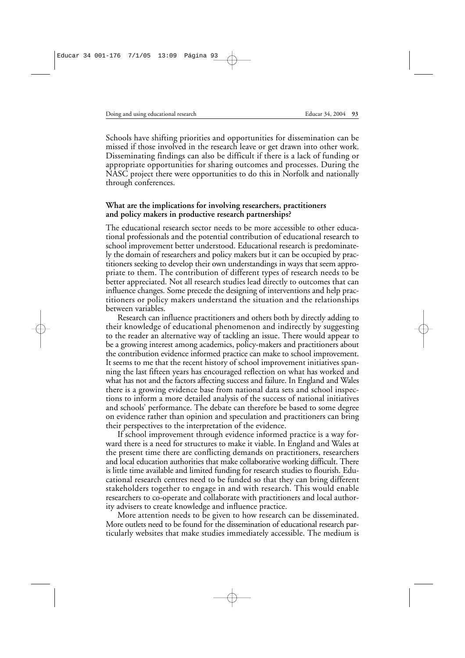Schools have shifting priorities and opportunities for dissemination can be missed if those involved in the research leave or get drawn into other work. Disseminating findings can also be difficult if there is a lack of funding or appropriate opportunities for sharing outcomes and processes. During the NASC project there were opportunities to do this in Norfolk and nationally through conferences.

### **What are the implications for involving researchers, practitioners and policy makers in productive research partnerships?**

The educational research sector needs to be more accessible to other educational professionals and the potential contribution of educational research to school improvement better understood. Educational research is predominately the domain of researchers and policy makers but it can be occupied by practitioners seeking to develop their own understandings in ways that seem appropriate to them. The contribution of different types of research needs to be better appreciated. Not all research studies lead directly to outcomes that can influence changes. Some precede the designing of interventions and help practitioners or policy makers understand the situation and the relationships between variables.

Research can influence practitioners and others both by directly adding to their knowledge of educational phenomenon and indirectly by suggesting to the reader an alternative way of tackling an issue. There would appear to be a growing interest among academics, policy-makers and practitioners about the contribution evidence informed practice can make to school improvement. It seems to me that the recent history of school improvement initiatives spanning the last fifteen years has encouraged reflection on what has worked and what has not and the factors affecting success and failure. In England and Wales there is a growing evidence base from national data sets and school inspections to inform a more detailed analysis of the success of national initiatives and schools' performance. The debate can therefore be based to some degree on evidence rather than opinion and speculation and practitioners can bring their perspectives to the interpretation of the evidence.

If school improvement through evidence informed practice is a way forward there is a need for structures to make it viable. In England and Wales at the present time there are conflicting demands on practitioners, researchers and local education authorities that make collaborative working difficult. There is little time available and limited funding for research studies to flourish. Educational research centres need to be funded so that they can bring different stakeholders together to engage in and with research. This would enable researchers to co-operate and collaborate with practitioners and local authority advisers to create knowledge and influence practice.

More attention needs to be given to how research can be disseminated. More outlets need to be found for the dissemination of educational research particularly websites that make studies immediately accessible. The medium is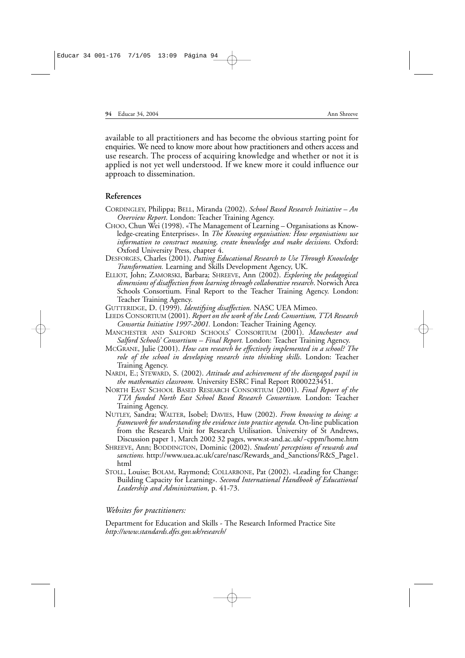available to all practitioners and has become the obvious starting point for enquiries. We need to know more about how practitioners and others access and use research. The process of acquiring knowledge and whether or not it is applied is not yet well understood. If we knew more it could influence our approach to dissemination.

#### **References**

- CORDINGLEY, Philippa; BELL, Miranda (2002). *School Based Research Initiative An Overview Report*. London: Teacher Training Agency.
- CHOO, Chun Wei (1998). «The Management of Learning Organisations as Knowledge-creating Enterprises*».* In *The Knowing organisation: How organisations use information to construct meaning, create knowledge and make decisions.* Oxford: Oxford University Press, chapter 4.
- DESFORGES, Charles (2001). *Putting Educational Research to Use Through Knowledge Transformation.* Learning and Skills Development Agency, UK.
- ELLIOT, John; ZAMORSKI, Barbara; SHREEVE, Ann (2002). *Exploring the pedagogical dimensions of disaffection from learning through collaborative research*. Norwich Area Schools Consortium. Final Report to the Teacher Training Agency. London: Teacher Training Agency.
- GUTTERIDGE, D. (1999). *Identifying disaffection.* NASC UEA Mimeo.
- LEEDS CONSORTIUM (2001). *Report on the work of the Leeds Consortium, TTA Research Consortia Initiative 1997-2001.* London: Teacher Training Agency.
- MANCHESTER AND SALFORD SCHOOLS' CONSORTIUM (2001). *Manchester and Salford Schools' Consortium – Final Report.* London: Teacher Training Agency.
- MCGRANE, Julie (2001). *How can research be effectively implemented in a school? The role of the school in developing research into thinking skills*. London: Teacher Training Agency.
- NARDI, E.; STEWARD, S. (2002). *Attitude and achievement of the disengaged pupil in the mathematics classroom.* University ESRC Final Report R000223451.
- NORTH EAST SCHOOL BASED RESEARCH CONSORTIUM (2001). *Final Report of the TTA funded North East School Based Research Consortium.* London: Teacher Training Agency.
- NUTLEY, Sandra; WALTER, Isobel; DAVIES, Huw (2002). *From knowing to doing: a framework for understanding the evidence into practice agenda.* On-line publication from the Research Unit for Research Utilisation. University of St Andrews, Discussion paper 1, March 2002 32 pages, www.st-and.ac.uk/~cppm/home.htm
- SHREEVE, Ann; BODDINGTON, Dominic (2002). *Students' perceptions of rewards and sanctions.* http://www.uea.ac.uk/care/nasc/Rewards\_and\_Sanctions/R&S\_Page1. html
- STOLL, Louise; BOLAM, Raymond; COLLARBONE, Pat (2002). «Leading for Change: Building Capacity for Learning». *Second International Handbook of Educational Leadership and Administration*, p. 41-73.

#### *Websites for practitioners:*

Department for Education and Skills - The Research Informed Practice Site *http://www.standards.dfes.gov.uk/research/*